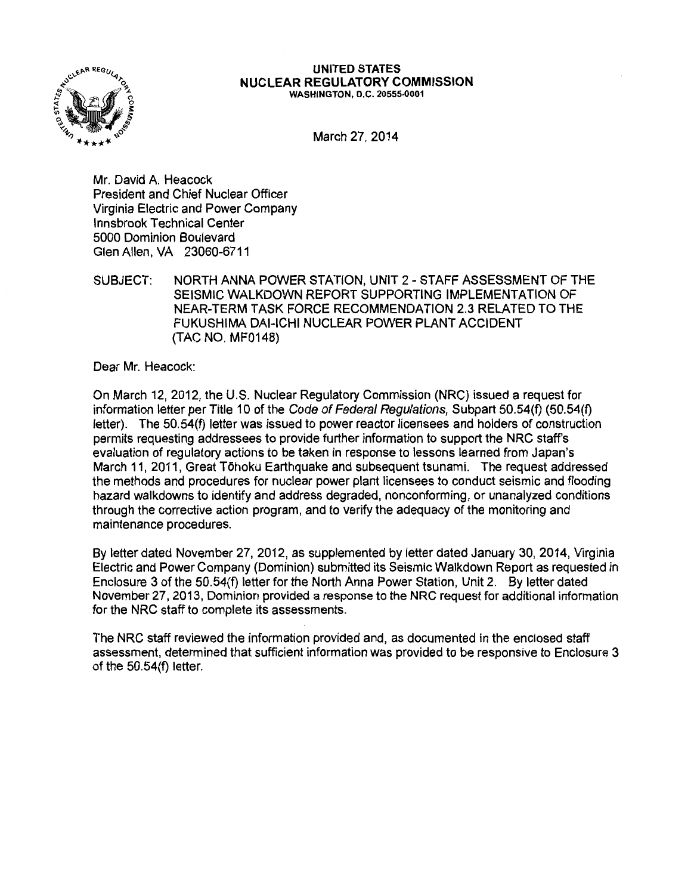

#### UNITED STATES NUCLEAR REGULATORY COMMISSION WASHINGTON, D.C. 20555-0001

March 27, 2014

Mr. David A. Heacock President and Chief Nuclear Officer Virginia Electric and Power Company lnnsbrook Technical Center 5000 Dominion Boulevard Glen Allen, VA 23060-6711

SUBJECT: NORTH ANNA POWER STATION, UNIT 2- STAFF ASSESSMENT OF THE SEISMIC WALKDOWN REPORT SUPPORTING IMPLEMENTATION OF NEAR-TERM TASK FORCE RECOMMENDATION 2.3 RELATED TO THE FUKUSHIMA DAI-ICHI NUCLEAR POWER PLANT ACCIDENT (TAC NO. MF0148)

Dear Mr. Heacock:

On March 12, 2012, the U.S. Nuclear Regulatory Commission (NRC) issued a request for information letter per Title 10 of the Code of Federal Regulations, Subpart 50.54(f) (50.54(f) letter). The 50.54(f) letter was issued to power reactor licensees and holders of construction permits requesting addressees to provide further information to support the NRC staff's evaluation of regulatory actions to be taken in response to lessons learned from Japan's March 11, 2011, Great Tohoku Earthquake and subsequent tsunami. The request addressed the methods and procedures for nuclear power plant licensees to conduct seismic and flooding hazard walkdowns to identify and address degraded, nonconforming, or unanalyzed conditions through the corrective action program, and to verify the adequacy of the monitoring and maintenance procedures.

By letter dated November 27, 2012, as supplemented by letter dated January 30, 2014, Virginia Electric and Power Company (Dominion) submitted its Seismic Walkdown Report as requested in Enclosure 3 of the 50.54(f) letter for the North Anna Power Station, Unit 2. By letter dated November 27, 2013, Dominion provided a response to the NRC request for additional information for the NRC staff to complete its assessments.

The NRC staff reviewed the information provided and, as documented in the enclosed staff assessment, determined that sufficient information was provided to be responsive to Enclosure 3 of the 50.54(f) letter.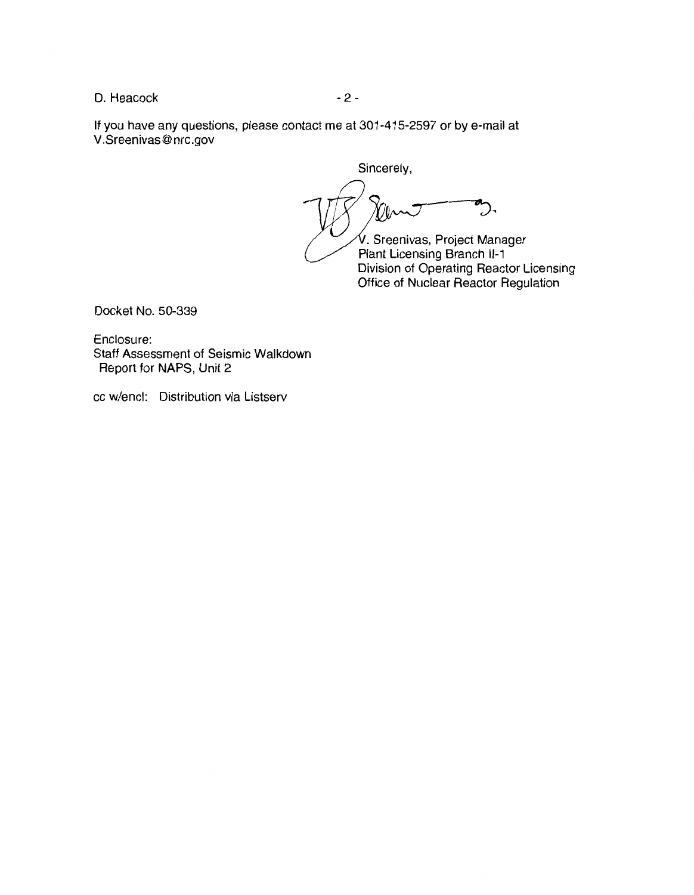D. Heacock 2 - 2 -

If you have any questions, please contact me at 301-415-2597 or by e-mail at V.Sreenivas@nrc.gov

Sincerely,  $\sum$ Onn . Sreenivas, Project Manager Plant Licensing Branch 11-1 Division of Operating Reactor Licensing

Office of Nuclear Reactor Regulation

Docket No. 50-339

Enclosure: Staff Assessment of Seismic Walkdown Report for NAPS, Unit 2

cc w/encl: Distribution via Listserv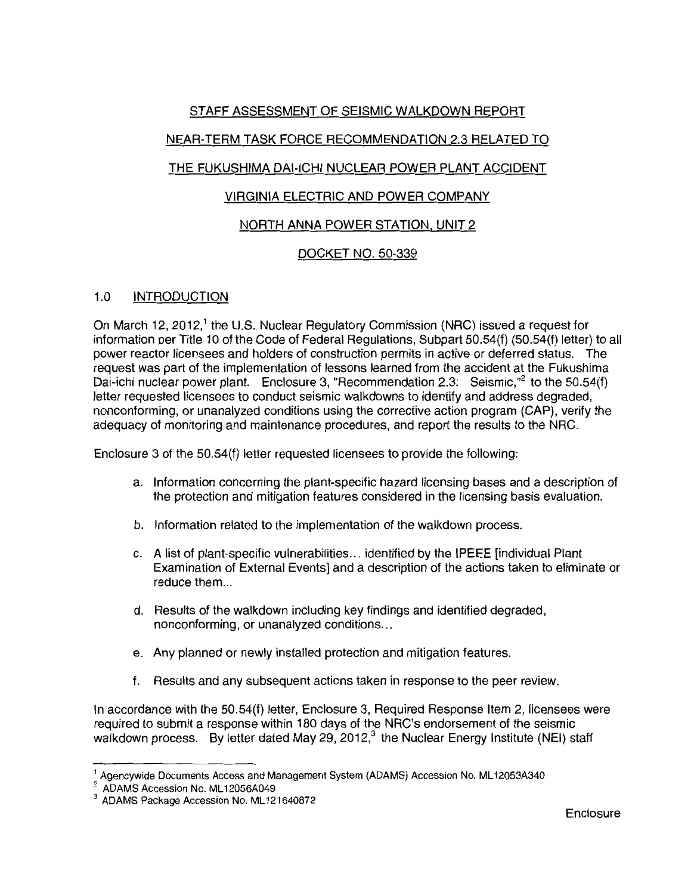## STAFF ASSESSMENT OF SEISMIC WALKDOWN REPORT

# NEAR-TERM TASK FORCE RECOMMENDATION 2.3 RELATED TO

# THE FUKUSHIMA DAI-ICHI NUCLEAR POWER PLANT ACCIDENT

## VIRGINIA ELECTRIC AND POWER COMPANY

## NORTH ANNA POWER STATION, UNIT 2

## DOCKET NO. 50-339

## 1.0 INTRODUCTION

On March 12, 2012,<sup>1</sup> the U.S. Nuclear Regulatory Commission (NRC) issued a request for information per Title 10 of the Code of Federal Regulations, Subpart 50.54(f) (50.54(f) letter) to all power reactor licensees and holders of construction permits in active or deferred status. The request was part of the implementation of lessons learned from the accident at the Fukushima Dai-ichi nuclear power plant. Enclosure 3, "Recommendation 2.3: Seismic,"<sup>2</sup> to the 50.54(f) letter requested licensees to conduct seismic walkdowns to identify and address degraded, nonconforming, or unanalyzed conditions using the corrective action program (CAP), verify the adequacy of monitoring and maintenance procedures, and report the results to the NRC.

Enclosure 3 of the 50.54(f) letter requested licensees to provide the following:

- a. Information concerning the plant-specific hazard licensing bases and a description of the protection and mitigation features considered in the licensing basis evaluation.
- b. Information related to the implementation of the walkdown process.
- c. A list of plant-specific vulnerabilities ... identified by the IPEEE [individual Plant Examination of External Events] and a description of the actions taken to eliminate or reduce them...
- d. Results of the walkdown including key findings and identified degraded, nonconforming, or unanalyzed conditions ...
- e. Any planned or newly installed protection and mitigation features.
- f. Results and any subsequent actions taken in response to the peer review.

In accordance with the 50.54(f) letter, Enclosure 3, Required Response Item 2, licensees were required to submit a response within 180 days of the NRC's endorsement of the seismic walkdown process. By letter dated May 29, 2012,<sup>3</sup> the Nuclear Energy Institute (NEI) staff

<sup>&</sup>lt;sup>1</sup> Agencywide Documents Access and Management System (ADAMS) Accession No. ML12053A340<br><sup>2</sup> ADAMS Accession No. ML12056A049

<sup>&</sup>lt;sup>3</sup> ADAMS Package Accession No. ML121640872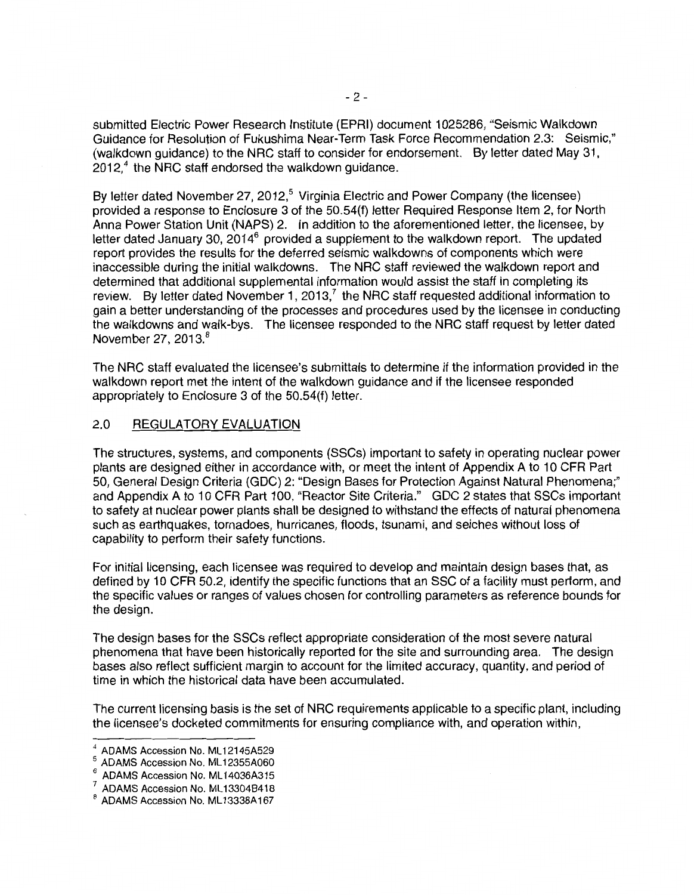submitted Electric Power Research Institute (EPRI) document 1025286, "Seismic Walkdown Guidance for Resolution of Fukushima Near-Term Task Force Recommendation 2.3: Seismic," (walkdown guidance) to the NRC staff to consider for endorsement. By letter dated May 31,  $2012<sup>4</sup>$  the NRC staff endorsed the walkdown guidance.

By letter dated November 27, 2012,<sup>5</sup> Virginia Electric and Power Company (the licensee) provided a response to Enclosure 3 of the 50.54(f) letter Required Response Item 2, for North Anna Power Station Unit (NAPS) 2. In addition to the aforementioned letter, the licensee, by letter dated January 30, 2014 $<sup>6</sup>$  provided a supplement to the walkdown report. The updated</sup> report provides the results for the deferred seismic walkdowns of components which were inaccessible during the initial walkdowns. The NRC staff reviewed the walkdown report and determined that additional supplemental information would assist the staff in completing its review. By letter dated November 1, 2013,<sup>7</sup> the NRC staff requested additional information to gain a better understanding of the processes and procedures used by the licensee in conducting the walkdowns and walk-bys. The licensee responded to the NRC staff request by letter dated November 27, 2013. $8$ 

The NRC staff evaluated the licensee's submittals to determine if the information provided in the walkdown report met the intent of the walkdown guidance and if the licensee responded appropriately to Enclosure 3 of the 50.54{f) letter.

## 2.0 REGULATORY EVALUATION

The structures, systems, and components (SSCs) important to safety in operating nuclear power plants are designed either in accordance with, or meet the intent of Appendix A to 10 CFR Part 50, General Design Criteria (GDC) 2: "Design Bases for Protection Against Natural Phenomena;" and Appendix A to 10 CFR Part 100, "Reactor Site Criteria." GDC 2 states that SSCs important to safety at nuclear power plants shall be designed to withstand the effects of natural phenomena such as earthquakes, tornadoes, hurricanes, floods, tsunami, and seiches without loss of capability to perform their safety functions.

For initial licensing, each licensee was required to develop and maintain design bases that, as defined by 10 CFR 50.2, identify the specific functions that an SSG of a facility must perform, and the specific values or ranges of values chosen for controlling parameters as reference bounds for the design.

The design bases for the SSCs reflect appropriate consideration of the most severe natural phenomena that have been historically reported for the site and surrounding area. The design bases also reflect sufficient margin to account for the limited accuracy, quantity, and period of time in which the historical data have been accumulated.

The current licensing basis is the set of NRC requirements applicable to a specific plant, including the licensee's docketed commitments for ensuring compliance with, and operation within,

ADAMS Accession No. ML12145A529<br>ADAMS Accession No. ML12355A060 ف<br>ADAMS Accession No. ML14036A315

 $\frac{7}{8}$  ADAMS Accession No. ML13304B418<br> $\frac{8}{8}$  ADAMS Accession No. ML13338A167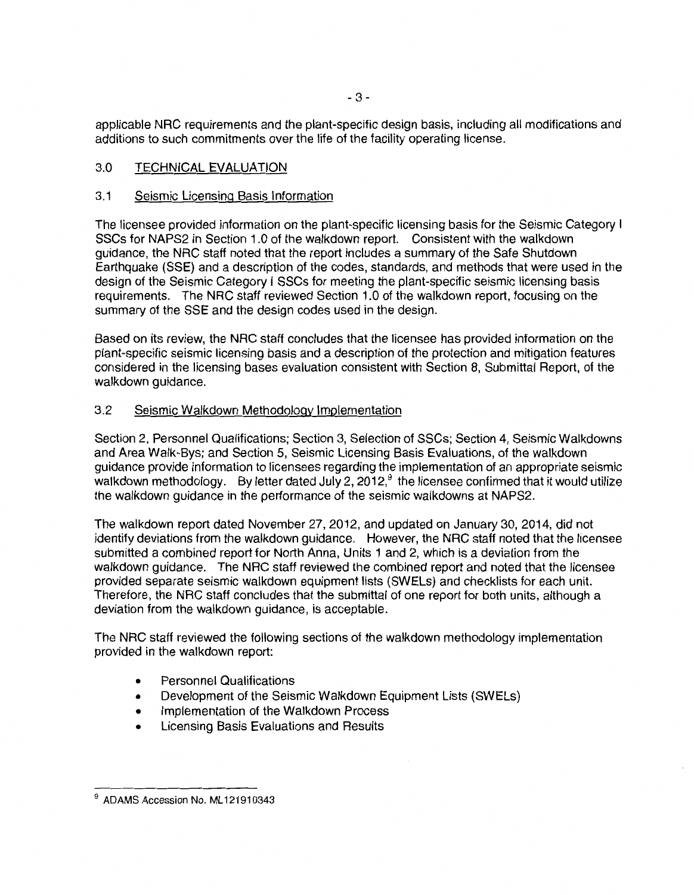applicable NRC requirements and the plant-specific design basis, including all modifications and additions to such commitments over the life of the facility operating license.

## 3.0 TECHNICAL EVALUATION

## 3.1 Seismic Licensing Basis Information

The licensee provided information on the plant-specific licensing basis for the Seismic Category I SSCs for NAPS2 in Section 1.0 of the walkdown report. Consistent with the walkdown guidance, the NRC staff noted that the report includes a summary of the Safe Shutdown Earthquake (SSE) and a description of the codes, standards, and methods that were used in the design of the Seismic Category I SSCs for meeting the plant-specific seismic licensing basis requirements. The NRC staff reviewed Section 1.0 of the walkdown report, focusing on the summary of the SSE and the design codes used in the design.

Based on its review, the NRC staff concludes that the licensee has provided information on the plant-specific seismic licensing basis and a description of the protection and mitigation features considered in the licensing bases evaluation consistent with Section 8, Submittal Report, of the walkdown guidance.

## 3.2 Seismic Walkdown Methodology Implementation

Section 2, Personnel Qualifications; Section 3, Selection of SSCs; Section 4, Seismic Walkdowns and Area Walk-Bys; and Section 5, Seismic Licensing Basis Evaluations, of the walkdown guidance provide information to licensees regarding the implementation of an appropriate seismic walk down methodology. By letter dated July 2, 2012, $9$  the licensee confirmed that it would utilize the walkdown guidance in the performance of the seismic walkdowns at NAPS2.

The walkdown report dated November 27,2012, and updated on January 30, 2014, did not identify deviations from the walkdown guidance. However, the NRC staff noted that the licensee submitted a combined report for North Anna, Units 1 and 2, which is a deviation from the walkdown guidance. The NRC staff reviewed the combined report and noted that the licensee provided separate seismic walkdown equipment lists (SWELs) and checklists for each unit. Therefore, the NRC staff concludes that the submittal of one report for both units, although a deviation from the walkdown guidance, is acceptable.

The NRC staff reviewed the following sections of the walkdown methodology implementation provided in the walkdown report:

- Personnel Qualifications
- Development of the Seismic Walkdown Equipment Lists (SWELs)
- Implementation of the Walkdown Process
- Licensing Basis Evaluations and Results

 $9$  ADAMS Accession No. ML121910343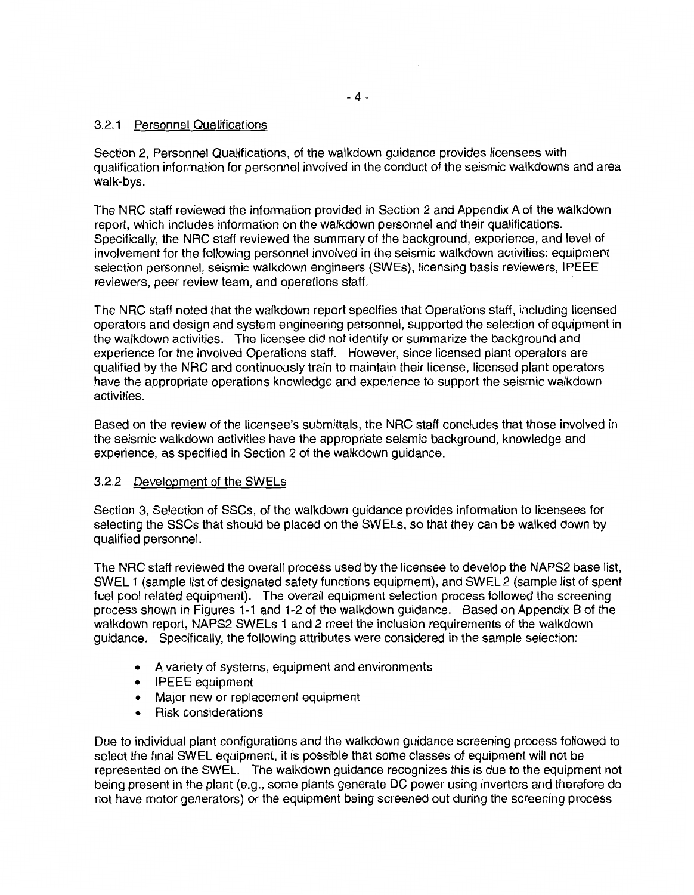## 3.2.1 Personnel Qualifications

Section 2, Personnel Qualifications, of the walkdown guidance provides licensees with qualification information for personnel involved in the conduct of the seismic walkdowns and area walk-bys.

The NRC staff reviewed the information provided in Section 2 and Appendix A of the walkdown report, which includes information on the walkdown personnel and their qualifications. Specifically, the NRC staff reviewed the summary of the background, experience, and level of involvement for the following personnel involved in the seismic walkdown activities: equipment selection personnel, seismic walkdown engineers (SWEs), licensing basis reviewers, IPEEE reviewers, peer review team, and operations staff.

The NRC staff noted that the walkdown report specifies that Operations staff, including licensed operators and design and system engineering personnel, supported the selection of equipment in the walkdown activities. The licensee did not identify or summarize the background and experience for the involved Operations staff. However, since licensed plant operators are qualified by the NRC and continuously train to maintain their license, licensed plant operators have the appropriate operations knowledge and experience to support the seismic walkdown activities.

Based on the review of the licensee's submittals, the NRC staff concludes that those involved in the seismic walkdown activities have the appropriate seismic background, knowledge and experience, as specified in Section 2 of the walkdown guidance.

## 3.2.2 Development of the SWELs

Section 3, Selection of SSCs, of the walkdown guidance provides information to licensees for selecting the SSCs that should be placed on the SWELs, so that they can be walked down by qualified personnel.

The NRC staff reviewed the overall process used by the licensee to develop the NAPS2 base list, SWEL 1 (sample list of designated safety functions equipment), and SWEL 2 (sample list of spent fuel pool related equipment). The overall equipment selection process followed the screening process shown in Figures 1-1 and 1-2 of the walkdown guidance. Based on Appendix B of the walkdown report, NAPS2 SWELs 1 and 2 meet the inclusion requirements of the walkdown guidance. Specifically, the following attributes were considered in the sample selection:

- A variety of systems, equipment and environments
- IPEEE equipment
- Major new or replacement equipment
- Risk considerations

Due to individual plant configurations and the walkdown guidance screening process followed to select the final SWEL equipment, it is possible that some classes of equipment will not be represented on the SWEL. The walkdown guidance recognizes this is due to the equipment not being present in the plant (e.g., some plants generate DC power using inverters and therefore do not have motor generators) or the equipment being screened out during the screening process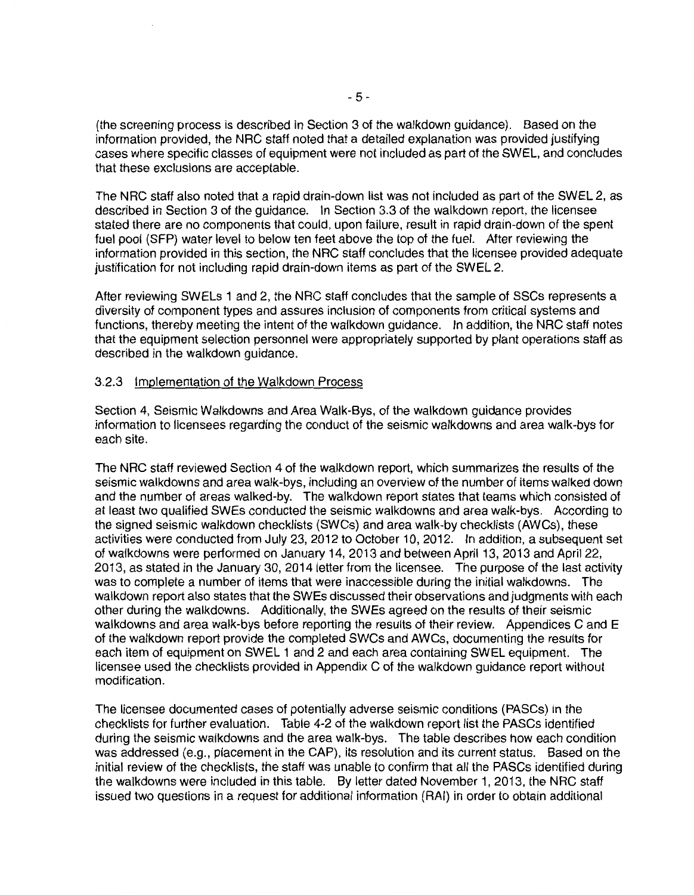(the screening process is described in Section 3 of the walkdown guidance). Based on the information provided, the NRC staff noted that a detailed explanation was provided justifying cases where specific classes of equipment were not included as part of the SWEL, and concludes that these exclusions are acceptable.

The NRC staff also noted that a rapid drain-down list was not included as part of the SWEL 2, as described in Section 3 of the guidance. In Section 3.3 of the walkdown report, the licensee stated there are no components that could, upon failure, result in rapid drain-down of the spent fuel pool (SFP) water level to below ten feet above the top of the fuel. After reviewing the information provided in this section, the NRC staff concludes that the licensee provided adequate justification for not including rapid drain-down items as part of the SWEL 2.

After reviewing SWELs 1 and 2, the NRC staff concludes that the sample of SSCs represents a diversity of component types and assures inclusion of components from critical systems and functions, thereby meeting the intent of the walkdown guidance. In addition, the NRC staff notes that the equipment selection personnel were appropriately supported by plant operations staff as described in the walkdown guidance.

#### 3.2.3 Implementation of the Walkdown Process

Section 4, Seismic Walkdowns and Area Walk-Bys, of the walkdown guidance provides information to licensees regarding the conduct of the seismic walkdowns and area walk-bys for each site.

The NRC staff reviewed Section 4 of the walkdown report, which summarizes the results of the seismic walkdowns and area walk-bys, including an overview of the number of items walked down and the number of areas walked-by. The walkdown report states that teams which consisted of at least two qualified SWEs conducted the seismic walkdowns and area walk-bys. According to the signed seismic walkdown checklists (SWCs) and area walk-by checklists (AWCs), these activities were conducted from July 23, 2012 to October 10, 2012. In addition, a subsequent set of walkdowns were performed on January 14, 2013 and between April 13, 2013 and April 22, 2013, as stated in the January 30, 2014 letter from the licensee. The purpose of the last activity was to complete a number of items that were inaccessible during the initial walkdowns. The walkdown report also states that the SWEs discussed their observations and judgments with each other during the walkdowns. Additionally, the SWEs agreed on the results of their seismic walkdowns and area walk-bys before reporting the results of their review. Appendices C and E of the walkdown report provide the completed SWCs and AWCs, documenting the results for each item of equipment on SWEL 1 and 2 and each area containing SWEL equipment. The licensee used the checklists provided in Appendix C of the walkdown guidance report without modification.

The licensee documented cases of potentially adverse seismic conditions (PASCs) in the checklists for further evaluation. Table 4-2 of the walkdown report list the PASCs identified during the seismic walkdowns and the area walk-bys. The table describes how each condition was addressed (e.g., placement in the CAP), its resolution and its current status. Based on the initial review of the checklists, the staff was unable to confirm that all the PASCs identified during the walkdowns were included in this table. By letter dated November 1, 2013, the NRC staff issued two questions in a request for additional information (RAI) in order to obtain additional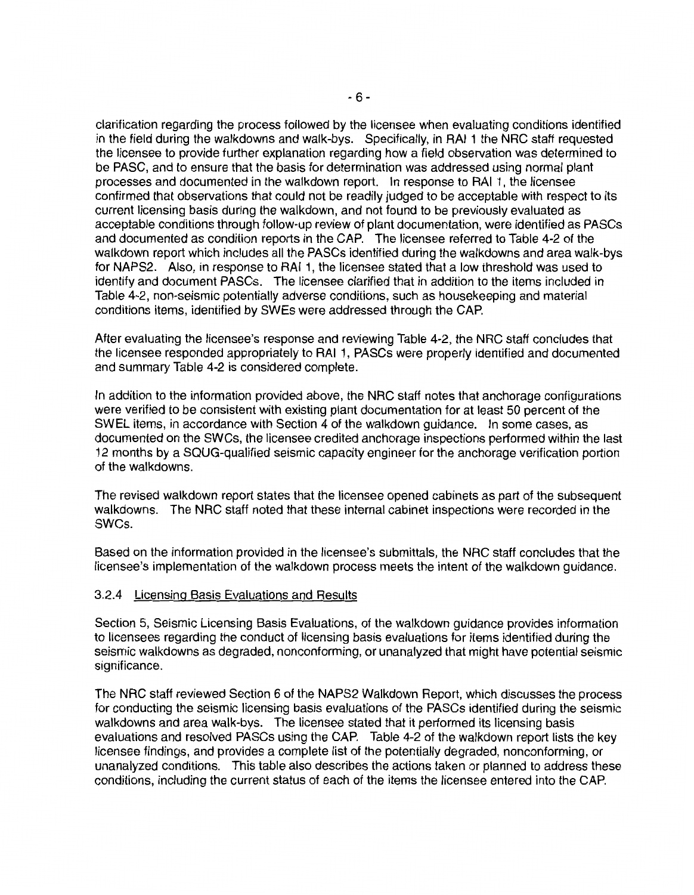clarification regarding the process followed by the licensee when evaluating conditions identified in the field during the walkdowns and walk-bys. Specifically, in RAI 1 the NRC staff requested the licensee to provide further explanation regarding how a field observation was determined to be PASC, and to ensure that the basis for determination was addressed using normal plant processes and documented in the walkdown report. In response to RAI 1, the licensee confirmed that observations that could not be readily judged to be acceptable with respect to its current licensing basis during the walkdown, and not found to be previously evaluated as acceptable conditions through follow-up review of plant documentation, were identified as PASCs and documented as condition reports in the CAP. The licensee referred to Table 4-2 of the walkdown report which includes all the PASCs identified during the walkdowns and area walk-bys for NAPS2. Also, in response to RAI 1, the licensee stated that a low threshold was used to identify and document PASCs. The licensee clarified that in addition to the items included in Table 4-2, non-seismic potentially adverse conditions, such as housekeeping and material conditions items, identified by SWEs were addressed through the CAP.

After evaluating the licensee's response and reviewing Table 4-2, the NRC staff concludes that the licensee responded appropriately to RAI 1, PASCs were properly identified and documented and summary Table 4-2 is considered complete.

In addition to the information provided above, the NRC staff notes that anchorage configurations were verified to be consistent with existing plant documentation for at least 50 percent of the SWEL items, in accordance with Section 4 of the walkdown guidance. In some cases, as documented on the SWCs, the licensee credited anchorage inspections performed within the last 12 months by a SQUG-qualified seismic capacity engineer for the anchorage verification portion of the walkdowns.

The revised walkdown report states that the licensee opened cabinets as part of the subsequent walkdowns. The NRC staff noted that these internal cabinet inspections were recorded in the SWCs.

Based on the information provided in the licensee's submittals, the NRC staff concludes that the licensee's implementation of the walkdown process meets the intent of the walkdown guidance.

#### 3.2.4 Licensing Basis Evaluations and Results

Section 5, Seismic Licensing Basis Evaluations, of the walkdown guidance provides information to licensees regarding the conduct of licensing basis evaluations for items identified during the seismic walkdowns as degraded, nonconforming, or unanalyzed that might have potential seismic significance.

The NRC staff reviewed Section 6 of the NAPS2 Walkdown Report, which discusses the process for conducting the seismic licensing basis evaluations of the PASCs identified during the seismic walkdowns and area walk-bys. The licensee stated that it performed its licensing basis evaluations and resolved PASCs using the CAP. Table 4-2 of the walkdown report lists the key licensee findings, and provides a complete list of the potentially degraded, nonconforming, or unanalyzed conditions. This table also describes the actions taken or planned to address these conditions, including the current status of each of the items the licensee entered into the CAP.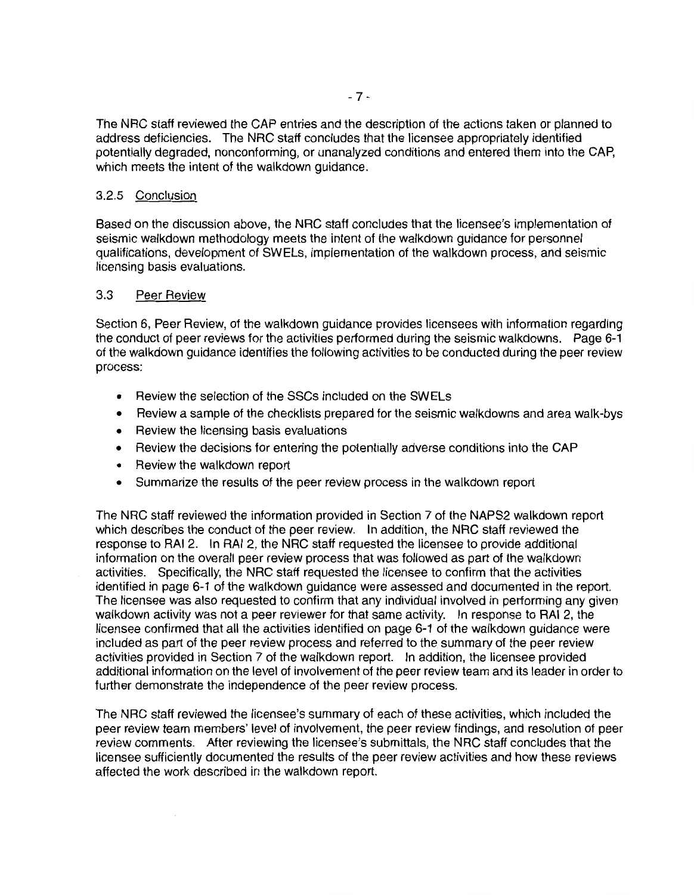The NRC staff reviewed the CAP entries and the description of the actions taken or planned to address deficiencies. The NRC staff concludes that the licensee appropriately identified potentially degraded, nonconforming, or unanalyzed conditions and entered them into the CAP, which meets the intent of the walkdown guidance.

#### 3.2.5 Conclusion

Based on the discussion above, the NRC staff concludes that the licensee's implementation of seismic walkdown methodology meets the intent of the walkdown guidance for personnel qualifications, development of SWELs, implementation of the walkdown process, and seismic licensing basis evaluations.

#### 3.3 Peer Review

Section 6, Peer Review, of the walkdown guidance provides licensees with information regarding the conduct of peer reviews for the activities performed during the seismic walkdowns. Page 6-1 of the walkdown guidance identifies the following activities to be conducted during the peer review process:

- Review the selection of the SSCs included on the SWELs
- Review a sample of the checklists prepared for the seismic walkdowns and area walk-bys
- Review the licensing basis evaluations
- Review the decisions for entering the potentially adverse conditions into the CAP
- Review the walkdown report
- Summarize the results of the peer review process in the walkdown report

The NRC staff reviewed the information provided in Section 7 of the NAPS2 walkdown report which describes the conduct of the peer review. In addition, the NRC staff reviewed the response to RAI 2. In RAI 2, the NRC staff requested the licensee to provide additional information on the overall peer review process that was followed as part of the walkdown activities. Specifically, the NRC staff requested the licensee to confirm that the activities identified in page 6-1 of the walkdown guidance were assessed and documented in the report. The licensee was also requested to confirm that any individual involved in performing any given walkdown activity was not a peer reviewer for that same activity. In response to RAI 2, the licensee confirmed that all the activities identified on page 6-1 of the walkdown guidance were included as part of the peer review process and referred to the summary of the peer review activities provided in Section 7 of the walkdown report. In addition, the licensee provided additional information on the level of involvement of the peer review team and its leader in order to further demonstrate the independence of the peer review process.

The NRC staff reviewed the licensee's summary of each of these activities, which included the peer review team members' level of involvement, the peer review findings, and resolution of peer review comments. After reviewing the licensee's submittals, the NRC staff concludes that the licensee sufficiently documented the results of the peer review activities and how these reviews affected the work described in the walkdown report.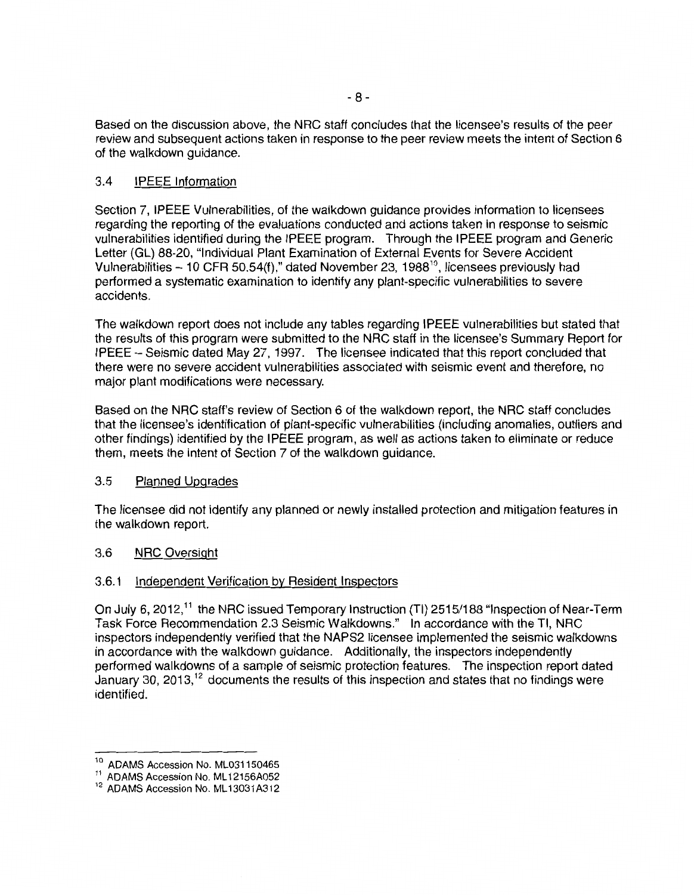Based on the discussion above, the NRC staff concludes that the licensee's results of the peer review and subsequent actions taken in response to the peer review meets the intent of Section 6 of the walkdown guidance.

## 3.4 IPEEE Information

Section 7, IPEEE Vulnerabilities, of the walkdown guidance provides information to licensees regarding the reporting of the evaluations conducted and actions taken in response to seismic vulnerabilities identified during the IPEEE program. Through the IPEEE program and Generic Letter (GL) 88-20, "Individual Plant Examination of External Events for Severe Accident Vulnerabilities - 10 CFR 50.54(f)," dated November 23, 1988<sup>10</sup>, licensees previously had performed a systematic examination to identify any plant-specific vulnerabilities to severe accidents.

The walkdown report does not include any tables regarding IPEEE vulnerabilities but stated that the results of this program were submitted to the NRC staff in the licensee's Summary Report for IPEEE- Seismic dated May 27, 1997. The licensee indicated that this report concluded that there were no severe accident vulnerabilities associated with seismic event and therefore, no major plant modifications were necessary.

Based on the NRC staff's review of Section 6 of the walkdown report, the NRC staff concludes that the licensee's identification of plant-specific vulnerabilities (including anomalies, outliers and other findings) identified by the IPEEE program, as well as actions taken to eliminate or reduce them, meets the intent of Section 7 of the walkdown guidance.

#### 3.5 Planned Upgrades

The licensee did not identify any planned or newly installed protection and mitigation features in the walkdown report.

#### 3.6 NRC Oversight

#### 3.6.1 Independent Verification by Resident Inspectors

On July 6, 2012,<sup>11</sup> the NRC issued Temporary Instruction (TI) 2515/188 "Inspection of Near-Term Task Force Recommendation 2.3 Seismic Walkdowns." In accordance with the Tl, NRC inspectors independently verified that the NAPS2 licensee implemented the seismic walkdowns in accordance with the walkdown guidance. Additionally, the inspectors independently performed walkdowns of a sample of seismic protection features. The inspection report dated January 30, 2013, 12 documents the results of this inspection and states that no findings were identified.

ADAMS Accession No. ML031150465

 $11$  ADAMS Accession No. ML 12156A052<br> $12$  ADAMS Accession No. ML 13031A312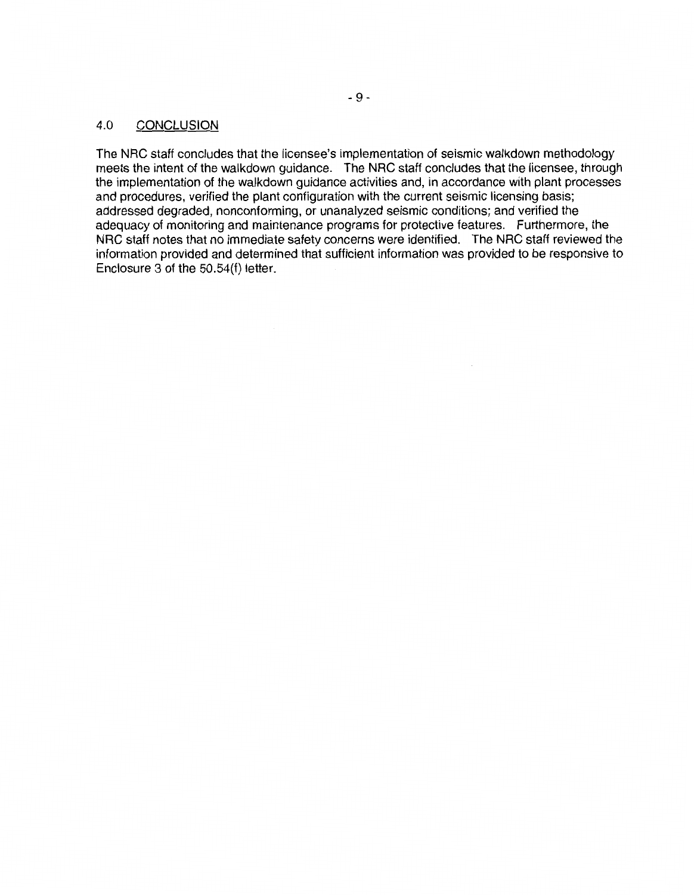## 4.0 CONCLUSION

The NRC staff concludes that the licensee's implementation of seismic walkdown methodology meets the intent of the walkdown guidance. The NRC staff concludes that the licensee, through the implementation of the walkdown guidance activities and, in accordance with plant processes and procedures, verified the plant configuration with the current seismic licensing basis; addressed degraded, nonconforming, or unanalyzed seismic conditions; and verified the adequacy of monitoring and maintenance programs for protective features. Furthermore, the NRC staff notes that no immediate safety concerns were identified. The NRC staff reviewed the information provided and determined that sufficient information was provided to be responsive to Enclosure 3 of the 50.54(f) letter.